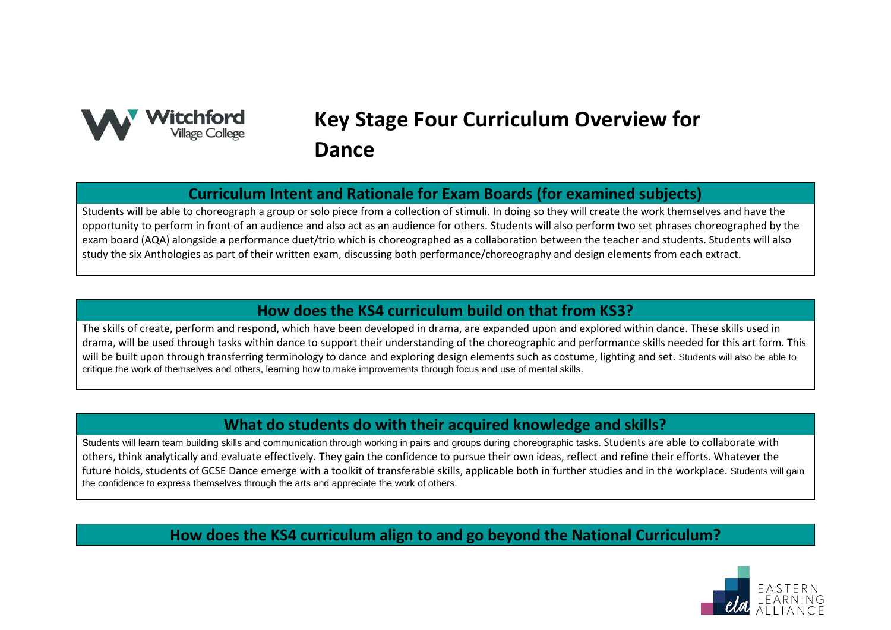

# **Key Stage Four Curriculum Overview for Dance**

## **Curriculum Intent and Rationale for Exam Boards (for examined subjects)**

Students will be able to choreograph a group or solo piece from a collection of stimuli. In doing so they will create the work themselves and have the opportunity to perform in front of an audience and also act as an audience for others. Students will also perform two set phrases choreographed by the exam board (AQA) alongside a performance duet/trio which is choreographed as a collaboration between the teacher and students. Students will also study the six Anthologies as part of their written exam, discussing both performance/choreography and design elements from each extract.

## **How does the KS4 curriculum build on that from KS3?**

The skills of create, perform and respond, which have been developed in drama, are expanded upon and explored within dance. These skills used in drama, will be used through tasks within dance to support their understanding of the choreographic and performance skills needed for this art form. This will be built upon through transferring terminology to dance and exploring design elements such as costume, lighting and set. Students will also be able to critique the work of themselves and others, learning how to make improvements through focus and use of mental skills.

## **What do students do with their acquired knowledge and skills?**

Students will learn team building skills and communication through working in pairs and groups during choreographic tasks. Students are able to collaborate with others, think analytically and evaluate effectively. They gain the confidence to pursue their own ideas, reflect and refine their efforts. Whatever the future holds, students of GCSE Dance emerge with a toolkit of transferable skills, applicable both in further studies and in the workplace. Students will gain the confidence to express themselves through the arts and appreciate the work of others.

## **How does the KS4 curriculum align to and go beyond the National Curriculum?**

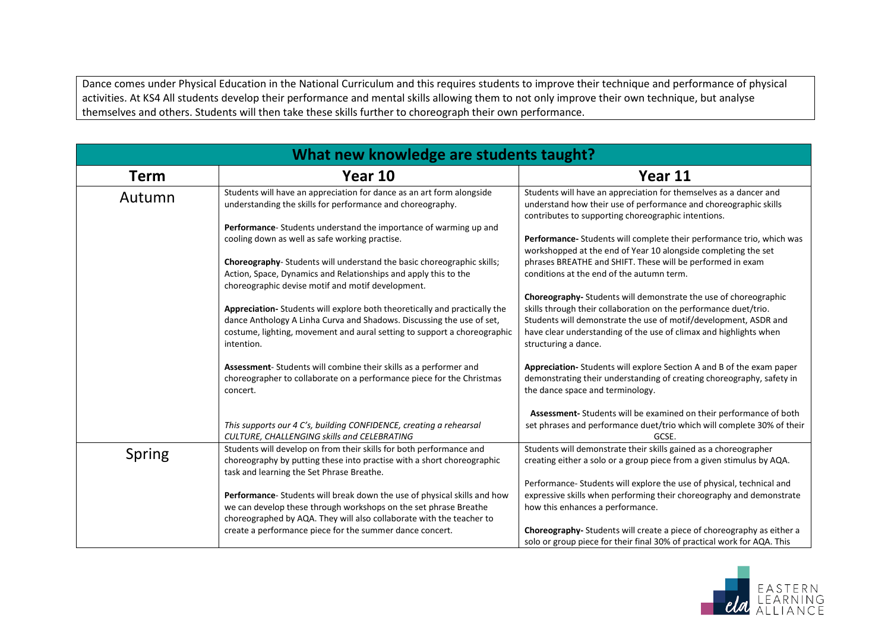Dance comes under Physical Education in the National Curriculum and this requires students to improve their technique and performance of physical activities. At KS4 All students develop their performance and mental skills allowing them to not only improve their own technique, but analyse themselves and others. Students will then take these skills further to choreograph their own performance.

| What new knowledge are students taught? |                                                                                                                                                                                                                                              |                                                                                                                                                                                                                                                                                                       |
|-----------------------------------------|----------------------------------------------------------------------------------------------------------------------------------------------------------------------------------------------------------------------------------------------|-------------------------------------------------------------------------------------------------------------------------------------------------------------------------------------------------------------------------------------------------------------------------------------------------------|
| Term                                    | Year 10                                                                                                                                                                                                                                      | Year 11                                                                                                                                                                                                                                                                                               |
| Autumn                                  | Students will have an appreciation for dance as an art form alongside<br>understanding the skills for performance and choreography.                                                                                                          | Students will have an appreciation for themselves as a dancer and<br>understand how their use of performance and choreographic skills<br>contributes to supporting choreographic intentions.                                                                                                          |
|                                         | Performance-Students understand the importance of warming up and<br>cooling down as well as safe working practise.                                                                                                                           | Performance-Students will complete their performance trio, which was<br>workshopped at the end of Year 10 alongside completing the set                                                                                                                                                                |
|                                         | Choreography-Students will understand the basic choreographic skills;<br>Action, Space, Dynamics and Relationships and apply this to the<br>choreographic devise motif and motif development.                                                | phrases BREATHE and SHIFT. These will be performed in exam<br>conditions at the end of the autumn term.                                                                                                                                                                                               |
|                                         | Appreciation-Students will explore both theoretically and practically the<br>dance Anthology A Linha Curva and Shadows. Discussing the use of set,<br>costume, lighting, movement and aural setting to support a choreographic<br>intention. | Choreography- Students will demonstrate the use of choreographic<br>skills through their collaboration on the performance duet/trio.<br>Students will demonstrate the use of motif/development, ASDR and<br>have clear understanding of the use of climax and highlights when<br>structuring a dance. |
|                                         | Assessment-Students will combine their skills as a performer and<br>choreographer to collaborate on a performance piece for the Christmas<br>concert.                                                                                        | Appreciation-Students will explore Section A and B of the exam paper<br>demonstrating their understanding of creating choreography, safety in<br>the dance space and terminology.                                                                                                                     |
|                                         | This supports our 4 C's, building CONFIDENCE, creating a rehearsal<br>CULTURE, CHALLENGING skills and CELEBRATING                                                                                                                            | Assessment-Students will be examined on their performance of both<br>set phrases and performance duet/trio which will complete 30% of their<br>GCSE.                                                                                                                                                  |
| Spring                                  | Students will develop on from their skills for both performance and<br>choreography by putting these into practise with a short choreographic<br>task and learning the Set Phrase Breathe.                                                   | Students will demonstrate their skills gained as a choreographer<br>creating either a solo or a group piece from a given stimulus by AQA.                                                                                                                                                             |
|                                         | Performance-Students will break down the use of physical skills and how<br>we can develop these through workshops on the set phrase Breathe<br>choreographed by AQA. They will also collaborate with the teacher to                          | Performance-Students will explore the use of physical, technical and<br>expressive skills when performing their choreography and demonstrate<br>how this enhances a performance.                                                                                                                      |
|                                         | create a performance piece for the summer dance concert.                                                                                                                                                                                     | Choreography-Students will create a piece of choreography as either a<br>solo or group piece for their final 30% of practical work for AQA. This                                                                                                                                                      |

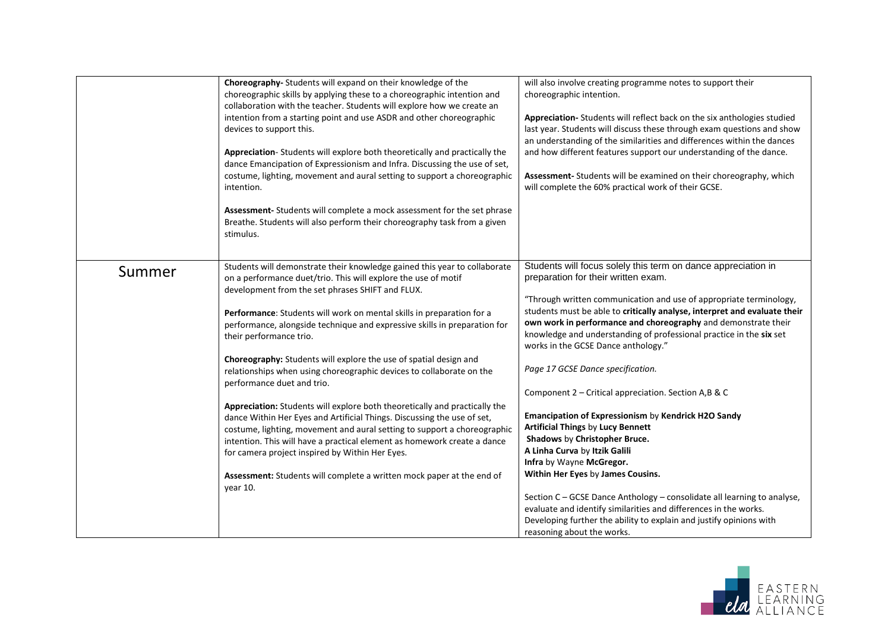|        | Choreography- Students will expand on their knowledge of the<br>choreographic skills by applying these to a choreographic intention and<br>collaboration with the teacher. Students will explore how we create an<br>intention from a starting point and use ASDR and other choreographic<br>devices to support this.<br>Appreciation-Students will explore both theoretically and practically the<br>dance Emancipation of Expressionism and Infra. Discussing the use of set,<br>costume, lighting, movement and aural setting to support a choreographic<br>intention.<br>Assessment- Students will complete a mock assessment for the set phrase<br>Breathe. Students will also perform their choreography task from a given<br>stimulus.                                                                                                                                                                                                                                                                        | will also involve creating programme notes to support their<br>choreographic intention.<br>Appreciation-Students will reflect back on the six anthologies studied<br>last year. Students will discuss these through exam questions and show<br>an understanding of the similarities and differences within the dances<br>and how different features support our understanding of the dance.<br>Assessment- Students will be examined on their choreography, which<br>will complete the 60% practical work of their GCSE.                                                                                                                                                                                                                                                                                                                                                                                                                                                                                                       |
|--------|----------------------------------------------------------------------------------------------------------------------------------------------------------------------------------------------------------------------------------------------------------------------------------------------------------------------------------------------------------------------------------------------------------------------------------------------------------------------------------------------------------------------------------------------------------------------------------------------------------------------------------------------------------------------------------------------------------------------------------------------------------------------------------------------------------------------------------------------------------------------------------------------------------------------------------------------------------------------------------------------------------------------|--------------------------------------------------------------------------------------------------------------------------------------------------------------------------------------------------------------------------------------------------------------------------------------------------------------------------------------------------------------------------------------------------------------------------------------------------------------------------------------------------------------------------------------------------------------------------------------------------------------------------------------------------------------------------------------------------------------------------------------------------------------------------------------------------------------------------------------------------------------------------------------------------------------------------------------------------------------------------------------------------------------------------------|
| Summer | Students will demonstrate their knowledge gained this year to collaborate<br>on a performance duet/trio. This will explore the use of motif<br>development from the set phrases SHIFT and FLUX.<br>Performance: Students will work on mental skills in preparation for a<br>performance, alongside technique and expressive skills in preparation for<br>their performance trio.<br>Choreography: Students will explore the use of spatial design and<br>relationships when using choreographic devices to collaborate on the<br>performance duet and trio.<br>Appreciation: Students will explore both theoretically and practically the<br>dance Within Her Eyes and Artificial Things. Discussing the use of set,<br>costume, lighting, movement and aural setting to support a choreographic<br>intention. This will have a practical element as homework create a dance<br>for camera project inspired by Within Her Eyes.<br>Assessment: Students will complete a written mock paper at the end of<br>vear 10. | Students will focus solely this term on dance appreciation in<br>preparation for their written exam.<br>"Through written communication and use of appropriate terminology,<br>students must be able to critically analyse, interpret and evaluate their<br>own work in performance and choreography and demonstrate their<br>knowledge and understanding of professional practice in the six set<br>works in the GCSE Dance anthology."<br>Page 17 GCSE Dance specification.<br>Component 2 - Critical appreciation. Section A,B & C<br>Emancipation of Expressionism by Kendrick H2O Sandy<br><b>Artificial Things by Lucy Bennett</b><br>Shadows by Christopher Bruce.<br>A Linha Curva by Itzik Galili<br>Infra by Wayne McGregor.<br>Within Her Eyes by James Cousins.<br>Section C - GCSE Dance Anthology - consolidate all learning to analyse,<br>evaluate and identify similarities and differences in the works.<br>Developing further the ability to explain and justify opinions with<br>reasoning about the works. |